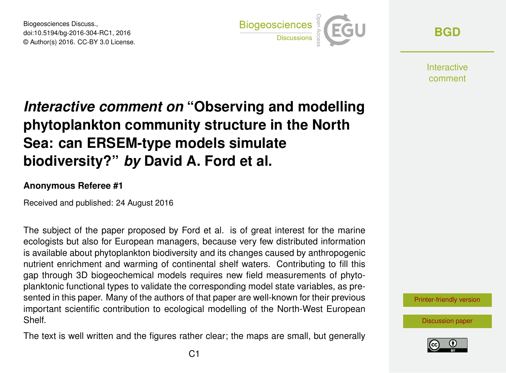Biogeosciences Discuss., doi:10.5194/bg-2016-304-RC1, 2016 © Author(s) 2016. CC-BY 3.0 License.



**[BGD](http://www.biogeosciences-discuss.net/)**

**Interactive** comment

## *Interactive comment on* **"Observing and modelling phytoplankton community structure in the North Sea: can ERSEM-type models simulate biodiversity?"** *by* **David A. Ford et al.**

## **Anonymous Referee #1**

Received and published: 24 August 2016

The subject of the paper proposed by Ford et al. is of great interest for the marine ecologists but also for European managers, because very few distributed information is available about phytoplankton biodiversity and its changes caused by anthropogenic nutrient enrichment and warming of continental shelf waters. Contributing to fill this gap through 3D biogeochemical models requires new field measurements of phytoplanktonic functional types to validate the corresponding model state variables, as presented in this paper. Many of the authors of that paper are well-known for their previous important scientific contribution to ecological modelling of the North-West European Shelf.

The text is well written and the figures rather clear; the maps are small, but generally

[Printer-friendly version](http://www.biogeosciences-discuss.net/bg-2016-304/bg-2016-304-RC1-print.pdf)

[Discussion paper](http://www.biogeosciences-discuss.net/bg-2016-304)

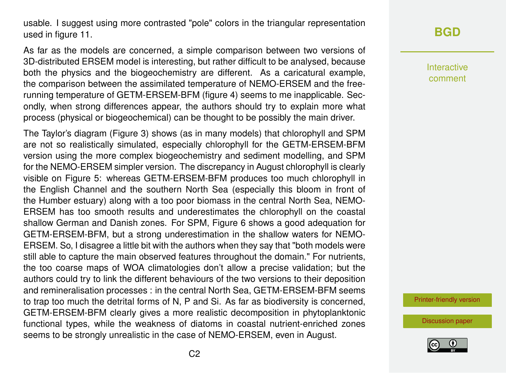usable. I suggest using more contrasted "pole" colors in the triangular representation used in figure 11.

As far as the models are concerned, a simple comparison between two versions of 3D-distributed ERSEM model is interesting, but rather difficult to be analysed, because both the physics and the biogeochemistry are different. As a caricatural example, the comparison between the assimilated temperature of NEMO-ERSEM and the freerunning temperature of GETM-ERSEM-BFM (figure 4) seems to me inapplicable. Secondly, when strong differences appear, the authors should try to explain more what process (physical or biogeochemical) can be thought to be possibly the main driver.

The Taylor's diagram (Figure 3) shows (as in many models) that chlorophyll and SPM are not so realistically simulated, especially chlorophyll for the GETM-ERSEM-BFM version using the more complex biogeochemistry and sediment modelling, and SPM for the NEMO-ERSEM simpler version. The discrepancy in August chlorophyll is clearly visible on Figure 5: whereas GETM-ERSEM-BFM produces too much chlorophyll in the English Channel and the southern North Sea (especially this bloom in front of the Humber estuary) along with a too poor biomass in the central North Sea, NEMO-ERSEM has too smooth results and underestimates the chlorophyll on the coastal shallow German and Danish zones. For SPM, Figure 6 shows a good adequation for GETM-ERSEM-BFM, but a strong underestimation in the shallow waters for NEMO-ERSEM. So, I disagree a little bit with the authors when they say that "both models were still able to capture the main observed features throughout the domain." For nutrients, the too coarse maps of WOA climatologies don't allow a precise validation; but the authors could try to link the different behaviours of the two versions to their deposition and remineralisation processes : in the central North Sea, GETM-ERSEM-BFM seems to trap too much the detrital forms of N, P and Si. As far as biodiversity is concerned, GETM-ERSEM-BFM clearly gives a more realistic decomposition in phytoplanktonic functional types, while the weakness of diatoms in coastal nutrient-enriched zones seems to be strongly unrealistic in the case of NEMO-ERSEM, even in August.

## **[BGD](http://www.biogeosciences-discuss.net/)**

Interactive comment

[Printer-friendly version](http://www.biogeosciences-discuss.net/bg-2016-304/bg-2016-304-RC1-print.pdf)

[Discussion paper](http://www.biogeosciences-discuss.net/bg-2016-304)